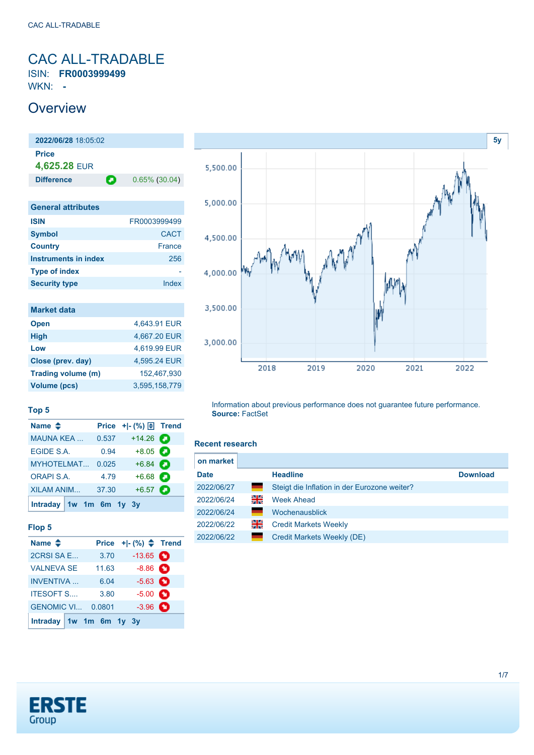### <span id="page-0-0"></span>CAC ALL-TRADABLE ISIN: **FR0003999499**

WKN: **-**

## **Overview**

**2022/06/28** 18:05:02 **Price 4,625.28** EUR **Difference 0.65% (30.04)** 

| <b>General attributes</b> |               |
|---------------------------|---------------|
| <b>ISIN</b>               | FR0003999499  |
| <b>Symbol</b>             | <b>CACT</b>   |
| <b>Country</b>            | <b>France</b> |
| Instruments in index      | 256           |
| <b>Type of index</b>      |               |
| <b>Security type</b>      | Index         |
|                           |               |

| <b>Market data</b> |               |
|--------------------|---------------|
| <b>Open</b>        | 4.643.91 EUR  |
| <b>High</b>        | 4,667.20 EUR  |
| Low                | 4.619.99 EUR  |
| Close (prev. day)  | 4,595.24 EUR  |
| Trading volume (m) | 152.467.930   |
| Volume (pcs)       | 3.595.158.779 |



#### **Top 5**

| Name $\triangle$          |       | Price $+$ $ \binom{9}{0}$ $\boxed{\frac{1}{2}}$ Trend |  |
|---------------------------|-------|-------------------------------------------------------|--|
| <b>MAUNA KEA</b>          | 0.537 | $+14.26$                                              |  |
| EGIDE S.A.                | 0.94  | $+8.05$ $\bigodot$                                    |  |
| MYHOTELMAT                | 0.025 | $+6.84$                                               |  |
| <b>ORAPI S.A.</b>         | 4.79  | $+6.68$                                               |  |
| <b>XILAM ANIM</b>         | 37.30 | $+6.57$ $\bullet$                                     |  |
| Intraday $1w$ 1m 6m 1y 3y |       |                                                       |  |

#### **Flop 5**

| Name $\triangleq$       | <b>Price</b> | $+ -$ (%) $\Leftarrow$ Trend |  |
|-------------------------|--------------|------------------------------|--|
| 2CRSI SA E              | 3.70         | $-13.65$ $\bullet$           |  |
| <b>VALNEVA SE</b>       | 11.63        | $-8.86$ $\bullet$            |  |
| <b>INVENTIVA</b>        | 6.04         | $-5.63$ $\bullet$            |  |
| <b>ITESOFT S</b>        | 3.80         | $-5.00$ $\bullet$            |  |
| <b>GENOMIC VI</b>       | 0.0801       | $-3.96$ $\bullet$            |  |
| Intraday 1w 1m 6m 1y 3y |              |                              |  |

Information about previous performance does not guarantee future performance. **Source:** FactSet

#### **Recent research**

| on market   |    |                                              |                 |
|-------------|----|----------------------------------------------|-----------------|
| <b>Date</b> |    | <b>Headline</b>                              | <b>Download</b> |
| 2022/06/27  | ۰  | Steigt die Inflation in der Eurozone weiter? |                 |
| 2022/06/24  | 읡  | <b>Week Ahead</b>                            |                 |
| 2022/06/24  | œ  | Wochenausblick                               |                 |
| 2022/06/22  | 꾉뚢 | <b>Credit Markets Weekly</b>                 |                 |
| 2022/06/22  | œ  | Credit Markets Weekly (DE)                   |                 |
|             |    |                                              |                 |

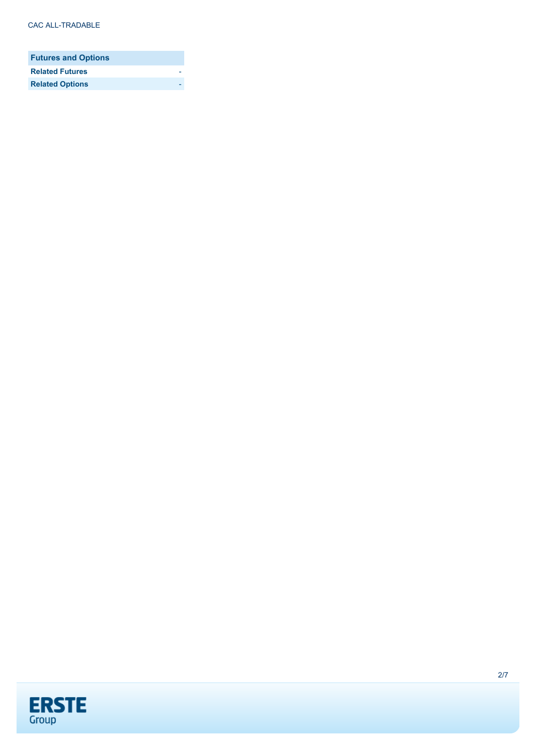| <b>Futures and Options</b> |  |
|----------------------------|--|
| <b>Related Futures</b>     |  |
| <b>Related Options</b>     |  |

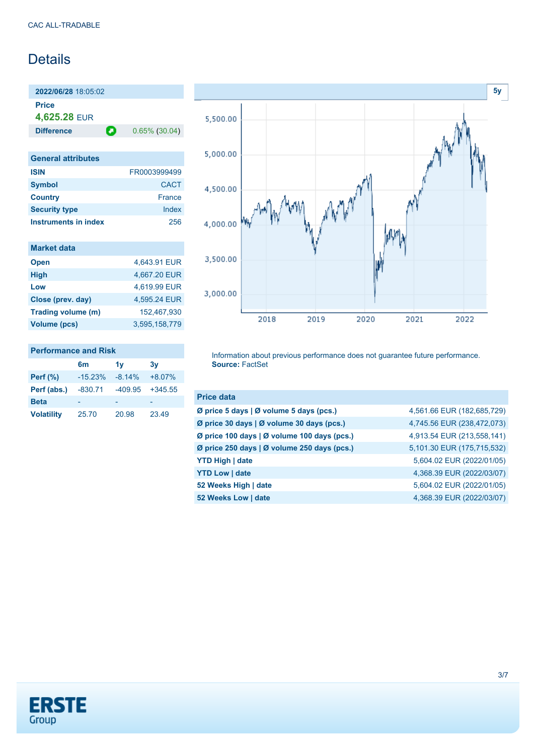## **Details**

**2022/06/28** 18:05:02 **Price 4,625.28** EUR

**Difference 0.65% (30.04)** 

| <b>General attributes</b> |              |
|---------------------------|--------------|
| <b>ISIN</b>               | FR0003999499 |
| <b>Symbol</b>             | <b>CACT</b>  |
| <b>Country</b>            | France       |
| <b>Security type</b>      | Index        |
| Instruments in index      | 256          |

| <b>Market data</b>  |               |
|---------------------|---------------|
| <b>Open</b>         | 4,643.91 EUR  |
| <b>High</b>         | 4,667.20 EUR  |
| Low                 | 4,619.99 EUR  |
| Close (prev. day)   | 4.595.24 EUR  |
| Trading volume (m)  | 152.467.930   |
| <b>Volume (pcs)</b> | 3.595.158.779 |

#### **Performance and Risk**

|                   | 6m        | 1v        | 3v        |
|-------------------|-----------|-----------|-----------|
| Perf $(\%)$       | $-15.23%$ | $-8.14%$  | $+8.07%$  |
| Perf (abs.)       | $-830.71$ | $-409.95$ | $+345.55$ |
| <b>Beta</b>       | -         |           |           |
| <b>Volatility</b> | 25.70     | 20.98     | 23.49     |



Information about previous performance does not guarantee future performance. **Source:** FactSet

| <b>Price data</b>                           |                            |
|---------------------------------------------|----------------------------|
| Ø price 5 days   Ø volume 5 days (pcs.)     | 4,561.66 EUR (182,685,729) |
| Ø price 30 days   Ø volume 30 days (pcs.)   | 4,745.56 EUR (238,472,073) |
| Ø price 100 days   Ø volume 100 days (pcs.) | 4,913.54 EUR (213,558,141) |
| Ø price 250 days   Ø volume 250 days (pcs.) | 5,101.30 EUR (175,715,532) |
| <b>YTD High   date</b>                      | 5,604.02 EUR (2022/01/05)  |
| <b>YTD Low   date</b>                       | 4,368.39 EUR (2022/03/07)  |
| 52 Weeks High   date                        | 5,604.02 EUR (2022/01/05)  |
| 52 Weeks Low   date                         | 4,368.39 EUR (2022/03/07)  |

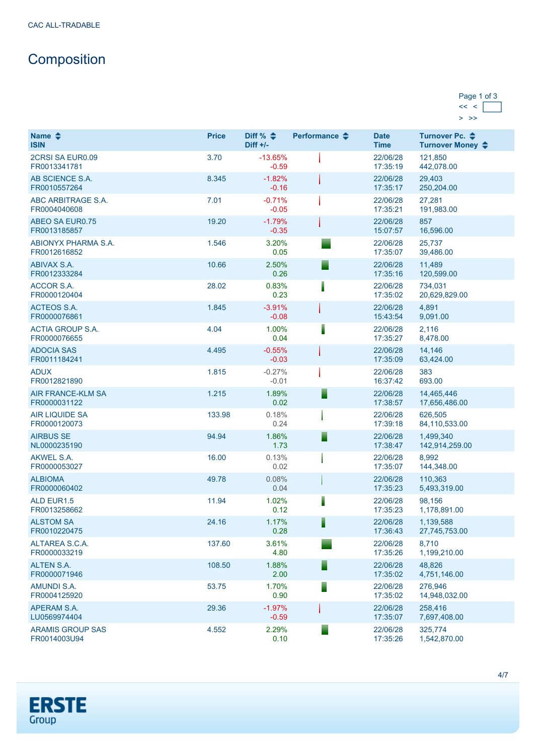# **Composition**

| Page 1 of 3 |  |
|-------------|--|
|             |  |
|             |  |

| Name $\triangleq$<br><b>ISIN</b>         | <b>Price</b> | Diff % $\triangleq$<br>Diff $+/-$ | Performance $\triangle$ | <b>Date</b><br><b>Time</b> | Turnover Pc. ♦<br>Turnover Money ♦ |
|------------------------------------------|--------------|-----------------------------------|-------------------------|----------------------------|------------------------------------|
| 2CRSI SA EUR0.09<br>FR0013341781         | 3.70         | $-13.65%$<br>$-0.59$              |                         | 22/06/28<br>17:35:19       | 121,850<br>442,078.00              |
| AB SCIENCE S.A.<br>FR0010557264          | 8.345        | $-1.82%$<br>$-0.16$               |                         | 22/06/28<br>17:35:17       | 29,403<br>250,204.00               |
| ABC ARBITRAGE S.A.<br>FR0004040608       | 7.01         | $-0.71%$<br>$-0.05$               |                         | 22/06/28<br>17:35:21       | 27,281<br>191,983.00               |
| <b>ABEO SA EUR0.75</b><br>FR0013185857   | 19.20        | $-1.79%$<br>$-0.35$               |                         | 22/06/28<br>15:07:57       | 857<br>16,596.00                   |
| ABIONYX PHARMA S.A.<br>FR0012616852      | 1.546        | 3.20%<br>0.05                     |                         | 22/06/28<br>17:35:07       | 25,737<br>39,486.00                |
| ABIVAX S.A.<br>FR0012333284              | 10.66        | 2.50%<br>0.26                     | ▀                       | 22/06/28<br>17:35:16       | 11,489<br>120,599.00               |
| <b>ACCOR S.A.</b><br>FR0000120404        | 28.02        | 0.83%<br>0.23                     | I                       | 22/06/28<br>17:35:02       | 734,031<br>20,629,829.00           |
| <b>ACTEOS S.A.</b><br>FR0000076861       | 1.845        | $-3.91%$<br>$-0.08$               |                         | 22/06/28<br>15:43:54       | 4,891<br>9,091.00                  |
| <b>ACTIA GROUP S.A.</b><br>FR0000076655  | 4.04         | 1.00%<br>0.04                     | ┋                       | 22/06/28<br>17:35:27       | 2,116<br>8,478.00                  |
| <b>ADOCIA SAS</b><br>FR0011184241        | 4.495        | $-0.55%$<br>$-0.03$               |                         | 22/06/28<br>17:35:09       | 14,146<br>63,424.00                |
| <b>ADUX</b><br>FR0012821890              | 1.815        | $-0.27%$<br>$-0.01$               |                         | 22/06/28<br>16:37:42       | 383<br>693.00                      |
| <b>AIR FRANCE-KLM SA</b><br>FR0000031122 | 1.215        | 1.89%<br>0.02                     | ▋                       | 22/06/28<br>17:38:57       | 14,465,446<br>17,656,486.00        |
| <b>AIR LIQUIDE SA</b><br>FR0000120073    | 133.98       | 0.18%<br>0.24                     |                         | 22/06/28<br>17:39:18       | 626,505<br>84,110,533.00           |
| <b>AIRBUS SE</b><br>NL0000235190         | 94.94        | 1.86%<br>1.73                     | ▋                       | 22/06/28<br>17:38:47       | 1,499,340<br>142,914,259.00        |
| <b>AKWEL S.A.</b><br>FR0000053027        | 16.00        | 0.13%<br>0.02                     |                         | 22/06/28<br>17:35:07       | 8,992<br>144,348.00                |
| <b>ALBIOMA</b><br>FR0000060402           | 49.78        | 0.08%<br>0.04                     |                         | 22/06/28<br>17:35:23       | 110,363<br>5,493,319.00            |
| ALD EUR1.5<br>FR0013258662               | 11.94        | 1.02%<br>0.12                     | I                       | 22/06/28<br>17:35:23       | 98,156<br>1,178,891.00             |
| <b>ALSTOM SA</b><br>FR0010220475         | 24.16        | 1.17%<br>0.28                     | I                       | 22/06/28<br>17:36:43       | 1,139,588<br>27,745,753.00         |
| ALTAREA S.C.A.<br>FR0000033219           | 137.60       | 3.61%<br>4.80                     |                         | 22/06/28<br>17:35:26       | 8,710<br>1,199,210.00              |
| <b>ALTEN S.A.</b><br>FR0000071946        | 108.50       | 1.88%<br>2.00                     | ▀                       | 22/06/28<br>17:35:02       | 48,826<br>4,751,146.00             |
| <b>AMUNDI S.A.</b><br>FR0004125920       | 53.75        | 1.70%<br>0.90                     | ⋾                       | 22/06/28<br>17:35:02       | 276.946<br>14,948,032.00           |
| APERAM S.A.<br>LU0569974404              | 29.36        | $-1.97%$<br>$-0.59$               |                         | 22/06/28<br>17:35:07       | 258,416<br>7,697,408.00            |
| <b>ARAMIS GROUP SAS</b><br>FR0014003U94  | 4.552        | 2.29%<br>0.10                     | ▀                       | 22/06/28<br>17:35:26       | 325,774<br>1,542,870.00            |

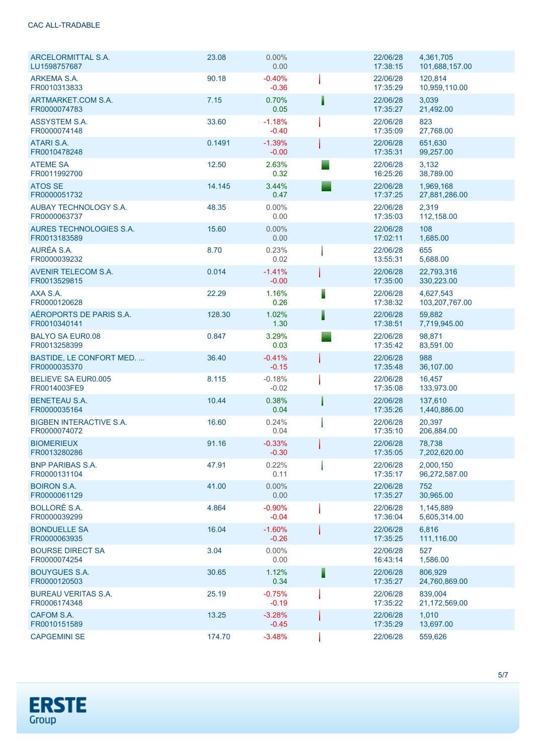#### CAC ALL-TRADABLE

| ARCELORMITTAL S.A.<br>LU1598757687             | 23.08  | $0.00\%$<br>0.00    |   | 22/06/28<br>17:38:15 | 4,361,705<br>101,688,157.00 |
|------------------------------------------------|--------|---------------------|---|----------------------|-----------------------------|
| ARKEMA S.A.<br>FR0010313833                    | 90.18  | $-0.40%$<br>$-0.36$ |   | 22/06/28<br>17:35:29 | 120.814<br>10,959,110.00    |
| ARTMARKET.COM S.A.<br>FR0000074783             | 7.15   | 0.70%<br>0.05       |   | 22/06/28<br>17:35:27 | 3,039<br>21,492.00          |
| ASSYSTEM S.A.<br>FR0000074148                  | 33.60  | $-1.18%$<br>$-0.40$ |   | 22/06/28<br>17:35:09 | 823<br>27,768.00            |
| ATARI S.A.<br>FR0010478248                     | 0.1491 | $-1.39%$<br>$-0.00$ |   | 22/06/28<br>17:35:31 | 651,630<br>99,257.00        |
| <b>ATEME SA</b><br>FR0011992700                | 12.50  | 2.63%<br>0.32       |   | 22/06/28<br>16:25:26 | 3,132<br>38,789.00          |
| <b>ATOS SE</b><br>FR0000051732                 | 14.145 | 3.44%<br>0.47       |   | 22/06/28<br>17:37:25 | 1,969,168<br>27,881,286.00  |
| <b>AUBAY TECHNOLOGY S.A.</b><br>FR0000063737   | 48.35  | $0.00\%$<br>0.00    |   | 22/06/28<br>17:35:03 | 2,319<br>112,158.00         |
| AURES TECHNOLOGIES S.A.<br>FR0013183589        | 15.60  | $0.00\%$<br>0.00    |   | 22/06/28<br>17:02:11 | 108<br>1,685.00             |
| AURÉA S.A.<br>FR0000039232                     | 8.70   | 0.23%<br>0.02       |   | 22/06/28<br>13:55:31 | 655<br>5,688.00             |
| <b>AVENIR TELECOM S.A.</b><br>FR0013529815     | 0.014  | $-1.41%$<br>$-0.00$ |   | 22/06/28<br>17:35:00 | 22.793.316<br>330,223.00    |
| AXA S.A.<br>FR0000120628                       | 22.29  | 1.16%<br>0.26       | ▌ | 22/06/28<br>17:38:32 | 4,627,543<br>103,207,767.00 |
| AÉROPORTS DE PARIS S.A.<br>FR0010340141        | 128.30 | 1.02%<br>1.30       | Ī | 22/06/28<br>17:38:51 | 59.882<br>7,719,945.00      |
| <b>BALYO SA EUR0.08</b><br>FR0013258399        | 0.847  | 3.29%<br>0.03       |   | 22/06/28<br>17:35:42 | 98,871<br>83,591.00         |
| BASTIDE, LE CONFORT MED.<br>FR0000035370       | 36.40  | $-0.41%$<br>$-0.15$ |   | 22/06/28<br>17:35:48 | 988<br>36,107.00            |
| <b>BELIEVE SA EUR0.005</b><br>FR0014003FE9     | 8.115  | $-0.18%$<br>$-0.02$ |   | 22/06/28<br>17:35:08 | 16,457<br>133,973.00        |
| <b>BENETEAU S.A.</b><br>FR0000035164           | 10.44  | 0.38%<br>0.04       |   | 22/06/28<br>17:35:26 | 137.610<br>1,440,886.00     |
| <b>BIGBEN INTERACTIVE S.A.</b><br>FR0000074072 | 16.60  | 0.24%<br>0.04       |   | 22/06/28<br>17:35:10 | 20.397<br>206,884.00        |
| <b>BIOMERIEUX</b><br>FR0013280286              | 91.16  | $-0.33%$<br>$-0.30$ |   | 22/06/28<br>17:35:05 | 78,738<br>7,202,620.00      |
| <b>BNP PARIBAS S.A.</b><br>FR0000131104        | 47.91  | 0.22%<br>0.11       |   | 22/06/28<br>17:35:17 | 2,000,150<br>96,272,587.00  |
| <b>BOIRON S.A.</b><br>FR0000061129             | 41.00  | $0.00\%$<br>0.00    |   | 22/06/28<br>17:35:27 | 752<br>30,965.00            |
| <b>BOLLORÉ S.A.</b><br>FR0000039299            | 4.864  | $-0.90%$<br>$-0.04$ |   | 22/06/28<br>17:36:04 | 1,145,889<br>5,605,314.00   |
| <b>BONDUELLE SA</b><br>FR0000063935            | 16.04  | $-1.60%$<br>$-0.26$ |   | 22/06/28<br>17:35:25 | 6,816<br>111,116.00         |
| <b>BOURSE DIRECT SA</b><br>FR0000074254        | 3.04   | $0.00\%$<br>0.00    |   | 22/06/28<br>16:43:14 | 527<br>1,586.00             |
| <b>BOUYGUES S.A.</b><br>FR0000120503           | 30.65  | 1.12%<br>0.34       | F | 22/06/28<br>17:35:27 | 806,929<br>24,760,869.00    |
| <b>BUREAU VERITAS S.A.</b><br>FR0006174348     | 25.19  | $-0.75%$<br>$-0.19$ |   | 22/06/28<br>17:35:22 | 839,004<br>21,172,569.00    |
| CAFOM S.A.<br>FR0010151589                     | 13.25  | $-3.28%$<br>$-0.45$ |   | 22/06/28<br>17:35:29 | 1,010<br>13,697.00          |
| <b>CAPGEMINI SE</b>                            | 174.70 | $-3.48%$            |   | 22/06/28             | 559,626                     |

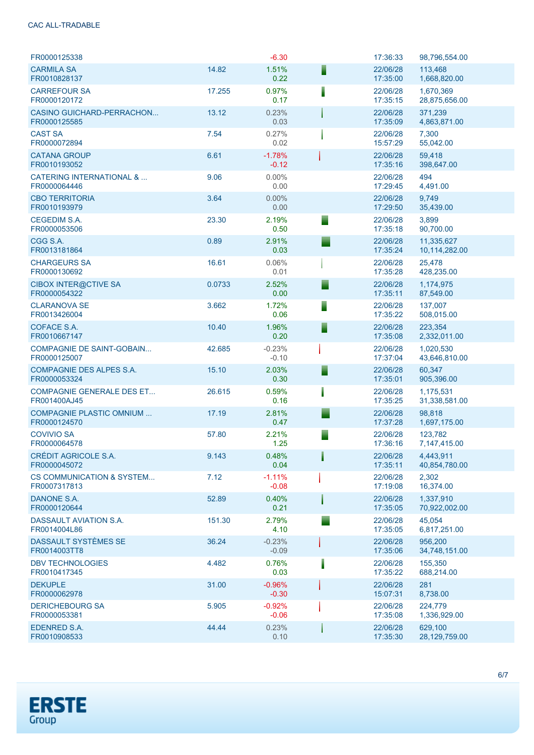#### CAC ALL-TRADABLE

| FR0000125338                                         |        | $-6.30$             |   | 17:36:33             | 98,796,554.00               |
|------------------------------------------------------|--------|---------------------|---|----------------------|-----------------------------|
| <b>CARMILA SA</b><br>FR0010828137                    | 14.82  | 1.51%<br>0.22       | F | 22/06/28<br>17:35:00 | 113,468<br>1,668,820.00     |
| <b>CARREFOUR SA</b><br>FR0000120172                  | 17.255 | 0.97%<br>0.17       | Ī | 22/06/28<br>17:35:15 | 1,670,369<br>28,875,656.00  |
| <b>CASINO GUICHARD-PERRACHON</b><br>FR0000125585     | 13.12  | 0.23%<br>0.03       |   | 22/06/28<br>17:35:09 | 371.239<br>4,863,871.00     |
| <b>CAST SA</b><br>FR0000072894                       | 7.54   | 0.27%<br>0.02       |   | 22/06/28<br>15:57:29 | 7,300<br>55,042.00          |
| <b>CATANA GROUP</b><br>FR0010193052                  | 6.61   | $-1.78%$<br>$-0.12$ |   | 22/06/28<br>17:35:16 | 59,418<br>398,647.00        |
| <b>CATERING INTERNATIONAL &amp; </b><br>FR0000064446 | 9.06   | $0.00\%$<br>0.00    |   | 22/06/28<br>17:29:45 | 494<br>4,491.00             |
| <b>CBO TERRITORIA</b><br>FR0010193979                | 3.64   | $0.00\%$<br>0.00    |   | 22/06/28<br>17:29:50 | 9,749<br>35,439.00          |
| <b>CEGEDIM S.A.</b><br>FR0000053506                  | 23.30  | 2.19%<br>0.50       |   | 22/06/28<br>17:35:18 | 3,899<br>90,700.00          |
| CGG S.A.<br>FR0013181864                             | 0.89   | 2.91%<br>0.03       |   | 22/06/28<br>17:35:24 | 11,335,627<br>10,114,282.00 |
| <b>CHARGEURS SA</b><br>FR0000130692                  | 16.61  | 0.06%<br>0.01       |   | 22/06/28<br>17:35:28 | 25,478<br>428,235.00        |
| <b>CIBOX INTER@CTIVE SA</b><br>FR0000054322          | 0.0733 | 2.52%<br>0.00       |   | 22/06/28<br>17:35:11 | 1,174,975<br>87,549.00      |
| <b>CLARANOVA SE</b><br>FR0013426004                  | 3.662  | 1.72%<br>0.06       |   | 22/06/28<br>17:35:22 | 137.007<br>508,015.00       |
| COFACE S.A.<br>FR0010667147                          | 10.40  | 1.96%<br>0.20       |   | 22/06/28<br>17:35:08 | 223,354<br>2,332,011.00     |
| <b>COMPAGNIE DE SAINT-GOBAIN</b><br>FR0000125007     | 42.685 | $-0.23%$<br>$-0.10$ |   | 22/06/28<br>17:37:04 | 1,020,530<br>43,646,810.00  |
| <b>COMPAGNIE DES ALPES S.A.</b><br>FR0000053324      | 15.10  | 2.03%<br>0.30       |   | 22/06/28<br>17:35:01 | 60,347<br>905,396.00        |
| <b>COMPAGNIE GENERALE DES ET</b><br>FR001400AJ45     | 26.615 | 0.59%<br>0.16       |   | 22/06/28<br>17:35:25 | 1,175,531<br>31,338,581.00  |
| COMPAGNIE PLASTIC OMNIUM<br>FR0000124570             | 17.19  | 2.81%<br>0.47       |   | 22/06/28<br>17:37:28 | 98,818<br>1,697,175.00      |
| <b>COVIVIO SA</b><br>FR0000064578                    | 57.80  | 2.21%<br>1.25       |   | 22/06/28<br>17:36:16 | 123,782<br>7,147,415.00     |
| CRÉDIT AGRICOLE S.A.<br>FR0000045072                 | 9.143  | 0.48%<br>0.04       |   | 22/06/28<br>17:35:11 | 4,443,911<br>40,854,780.00  |
| <b>CS COMMUNICATION &amp; SYSTEM</b><br>FR0007317813 | 7.12   | $-1.11%$<br>$-0.08$ |   | 22/06/28<br>17:19:08 | 2,302<br>16,374.00          |
| DANONE S.A.<br>FR0000120644                          | 52.89  | 0.40%<br>0.21       |   | 22/06/28<br>17:35:05 | 1,337,910<br>70,922,002.00  |
| DASSAULT AVIATION S.A.<br>FR0014004L86               | 151.30 | 2.79%<br>4.10       |   | 22/06/28<br>17:35:05 | 45,054<br>6,817,251.00      |
| DASSAULT SYSTÈMES SE<br>FR0014003TT8                 | 36.24  | $-0.23%$<br>$-0.09$ |   | 22/06/28<br>17:35:06 | 956,200<br>34,748,151.00    |
| <b>DBV TECHNOLOGIES</b><br>FR0010417345              | 4.482  | 0.76%<br>0.03       |   | 22/06/28<br>17:35:22 | 155,350<br>688,214.00       |
| <b>DEKUPLE</b><br>FR0000062978                       | 31.00  | $-0.96%$<br>$-0.30$ |   | 22/06/28<br>15:07:31 | 281<br>8,738.00             |
| <b>DERICHEBOURG SA</b><br>FR0000053381               | 5.905  | $-0.92%$<br>$-0.06$ |   | 22/06/28<br>17:35:08 | 224,779<br>1,336,929.00     |
| <b>EDENRED S.A.</b><br>FR0010908533                  | 44.44  | 0.23%<br>0.10       |   | 22/06/28<br>17:35:30 | 629,100<br>28,129,759.00    |